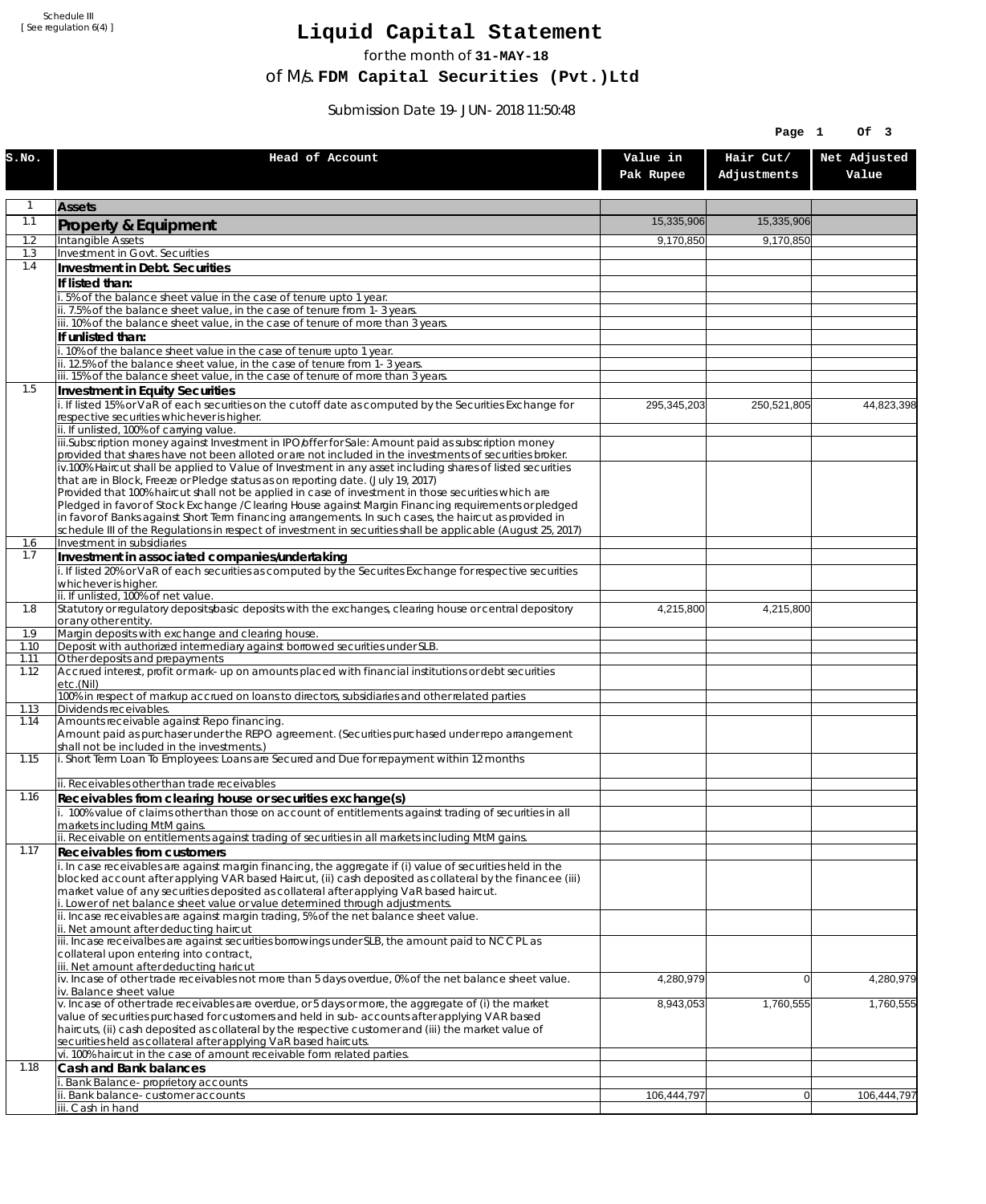Schedule III [ See regulation 6(4) ]

## **Liquid Capital Statement**

for the month of **31-MAY-18**

of M/s. **FDM Capital Securities (Pvt.)Ltd**

Submission Date 19-JUN-2018 11:50:48

|              |                                                                                                                                                                                                                        |                       | Page 1                   | Of 3                  |
|--------------|------------------------------------------------------------------------------------------------------------------------------------------------------------------------------------------------------------------------|-----------------------|--------------------------|-----------------------|
| S.NO.        | Head of Account                                                                                                                                                                                                        | Value in<br>Pak Rupee | Hair Cut/<br>Adjustments | Net Adjusted<br>Value |
| 1            | <b>Assets</b>                                                                                                                                                                                                          |                       |                          |                       |
| 1.1          | Property & Equipment                                                                                                                                                                                                   | 15,335,906            | 15,335,906               |                       |
| 1.2          | Intangible Assets                                                                                                                                                                                                      | 9,170,850             | 9,170,850                |                       |
| 1.3<br>1.4   | Investment in Govt. Securities<br>Investment in Debt. Securities                                                                                                                                                       |                       |                          |                       |
|              | If listed than:                                                                                                                                                                                                        |                       |                          |                       |
|              | i. 5% of the balance sheet value in the case of tenure upto 1 year.                                                                                                                                                    |                       |                          |                       |
|              | ii. 7.5% of the balance sheet value, in the case of tenure from 1-3 years.<br>iii. 10% of the balance sheet value, in the case of tenure of more than 3 years.                                                         |                       |                          |                       |
|              | If unlisted than:                                                                                                                                                                                                      |                       |                          |                       |
|              | i. 10% of the balance sheet value in the case of tenure upto 1 year.                                                                                                                                                   |                       |                          |                       |
|              | ii. 12.5% of the balance sheet value, in the case of tenure from 1-3 years.<br>iii. 15% of the balance sheet value, in the case of tenure of more than 3 years.                                                        |                       |                          |                       |
| 1.5          | Investment in Equity Securities                                                                                                                                                                                        |                       |                          |                       |
|              | i. If listed 15% or VaR of each securities on the cutoff date as computed by the Securities Exchange for                                                                                                               | 295,345,203           | 250,521,805              | 44,823,398            |
|              | respective securities whichever is higher.<br>ii. If unlisted, 100% of carrying value.                                                                                                                                 |                       |                          |                       |
|              | iii.Subscription money against Investment in IPO/offer for Sale: Amount paid as subscription money                                                                                                                     |                       |                          |                       |
|              | provided that shares have not been alloted or are not included in the investments of securities broker.                                                                                                                |                       |                          |                       |
|              | iv.100% Haircut shall be applied to Value of Investment in any asset including shares of listed securities<br>that are in Block, Freeze or Pledge status as on reporting date. (July 19, 2017)                         |                       |                          |                       |
|              | Provided that 100% haircut shall not be applied in case of investment in those securities which are                                                                                                                    |                       |                          |                       |
|              | Pledged in favor of Stock Exchange / Clearing House against Margin Financing requirements or pledged<br>in favor of Banks against Short Term financing arrangements. In such cases, the haircut as provided in         |                       |                          |                       |
|              | schedule III of the Regulations in respect of investment in securities shall be applicable (August 25, 2017)                                                                                                           |                       |                          |                       |
| 1.6          | Investment in subsidiaries                                                                                                                                                                                             |                       |                          |                       |
| 1.7          | Investment in associated companies/undertaking<br>i. If listed 20% or VaR of each securities as computed by the Securites Exchange for respective securities                                                           |                       |                          |                       |
|              | whichever is higher.                                                                                                                                                                                                   |                       |                          |                       |
|              | ii. If unlisted, 100% of net value.                                                                                                                                                                                    |                       |                          |                       |
| 1.8          | Statutory or regulatory deposits/basic deposits with the exchanges, clearing house or central depository<br>or any other entity.                                                                                       | 4,215,800             | 4,215,800                |                       |
| 1.9          | Margin deposits with exchange and clearing house.                                                                                                                                                                      |                       |                          |                       |
| 1.10<br>1.11 | Deposit with authorized intermediary against borrowed securities under SLB.<br>Other deposits and prepayments                                                                                                          |                       |                          |                       |
| 1.12         | Accrued interest, profit or mark-up on amounts placed with financial institutions or debt securities                                                                                                                   |                       |                          |                       |
|              | etc.(Nil)<br>100% in respect of markup accrued on loans to directors, subsidiaries and other related parties                                                                                                           |                       |                          |                       |
| 1.13         | Dividends receivables.                                                                                                                                                                                                 |                       |                          |                       |
| 1.14         | Amounts receivable against Repo financing.<br>Amount paid as purchaser under the REPO agreement. (Securities purchased under repo arrangement                                                                          |                       |                          |                       |
|              | shall not be included in the investments.)                                                                                                                                                                             |                       |                          |                       |
| 1.15         | i. Short Term Loan To Employees: Loans are Secured and Due for repayment within 12 months                                                                                                                              |                       |                          |                       |
|              | ii. Receivables other than trade receivables                                                                                                                                                                           |                       |                          |                       |
| 1.16         | Receivables from clearing house or securities exchange(s)                                                                                                                                                              |                       |                          |                       |
|              | i. 100% value of claims other than those on account of entitlements against trading of securities in all<br>markets including MtM gains.                                                                               |                       |                          |                       |
|              | ii. Receivable on entitlements against trading of securities in all markets including MtM gains.                                                                                                                       |                       |                          |                       |
| 1.17         | <b>Receivables from customers</b>                                                                                                                                                                                      |                       |                          |                       |
|              | i. In case receivables are against margin financing, the aggregate if (i) value of securities held in the<br>blocked account after applying VAR based Haircut, (ii) cash deposited as collateral by the financee (iii) |                       |                          |                       |
|              | market value of any securities deposited as collateral after applying VaR based haircut.                                                                                                                               |                       |                          |                       |
|              | i. Lower of net balance sheet value or value determined through adjustments.<br>ii. Incase receivables are against margin trading, 5% of the net balance sheet value.                                                  |                       |                          |                       |
|              | ii. Net amount after deducting haircut                                                                                                                                                                                 |                       |                          |                       |
|              | iii. Incase receivalbes are against securities borrowings under SLB, the amount paid to NCCPL as                                                                                                                       |                       |                          |                       |
|              | collateral upon entering into contract,<br>iii. Net amount after deducting haricut                                                                                                                                     |                       |                          |                       |
|              | $iv.$ Incase of other trade receivables not more than 5 days overdue, 0% of the net balance sheet value.                                                                                                               | 4,280,979             | $\overline{0}$           | 4,280,979             |
|              | iv. Balance sheet value<br>v. Incase of other trade receivables are overdue, or 5 days or more, the aggregate of (i) the market                                                                                        | 8,943,053             | 1,760,555                | 1,760,555             |
|              | value of securities purchased for customers and held in sub-accounts after applying VAR based                                                                                                                          |                       |                          |                       |
|              | haircuts, (ii) cash deposited as collateral by the respective customer and (iii) the market value of                                                                                                                   |                       |                          |                       |
|              | securities held as collateral after applying VaR based haircuts.<br>vi. 100% haircut in the case of amount receivable form related parties.                                                                            |                       |                          |                       |
| 1.18         | Cash and Bank balances                                                                                                                                                                                                 |                       |                          |                       |
|              | i. Bank Balance-proprietory accounts                                                                                                                                                                                   |                       |                          |                       |
|              | ii. Bank balance-customer accounts<br>iii. Cash in hand                                                                                                                                                                | 106,444,797           | 0                        | 106,444,797           |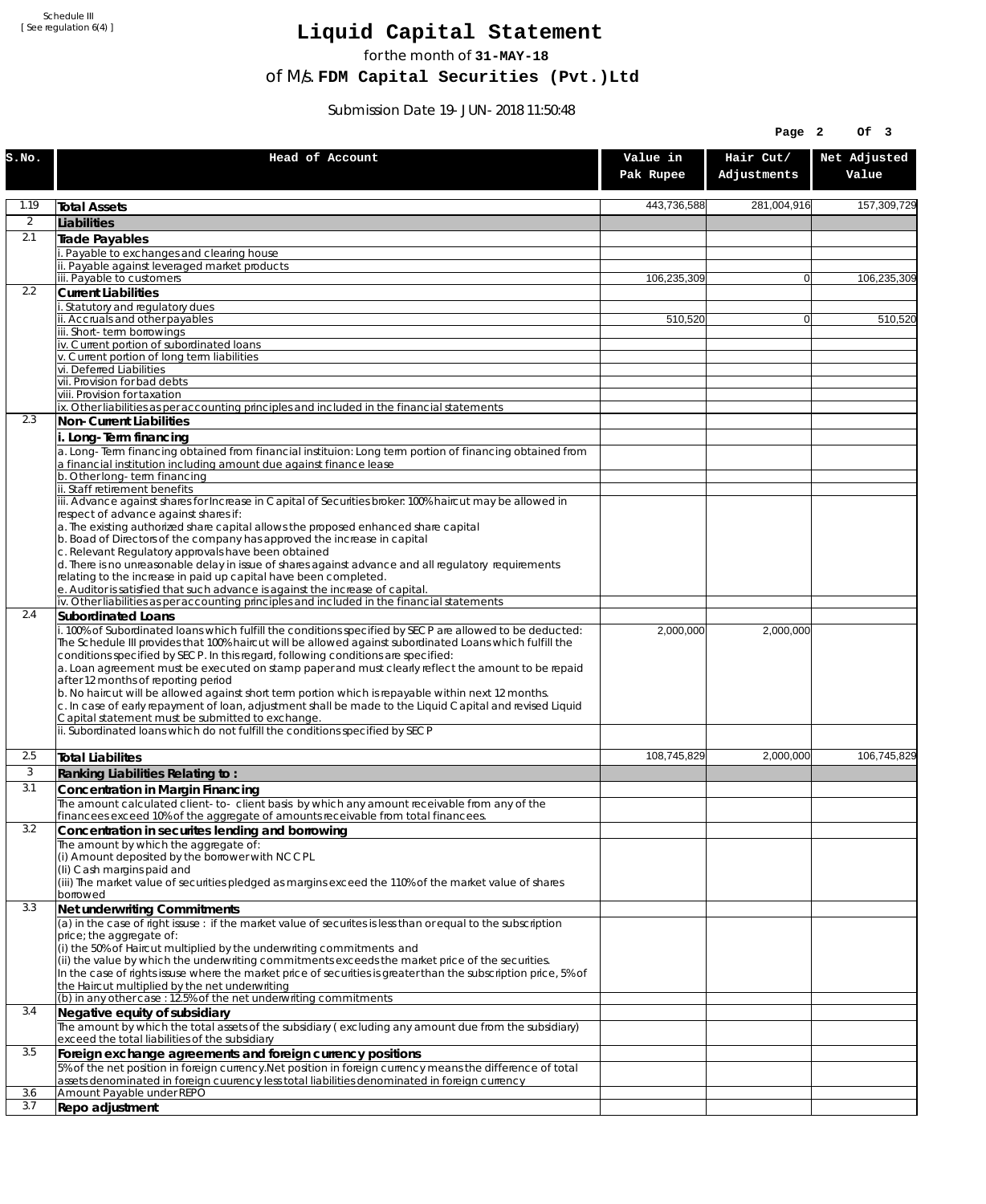Schedule III [ See regulation 6(4) ]

## **Liquid Capital Statement**

for the month of **31-MAY-18**

of M/s. **FDM Capital Securities (Pvt.)Ltd**

Submission Date 19-JUN-2018 11:50:48

|                |                                                                                                                                                                                                                |                       | Page 2                   | Of 3                  |
|----------------|----------------------------------------------------------------------------------------------------------------------------------------------------------------------------------------------------------------|-----------------------|--------------------------|-----------------------|
| S.NO.          | Head of Account                                                                                                                                                                                                | Value in<br>Pak Rupee | Hair Cut/<br>Adjustments | Net Adjusted<br>Value |
| 1.19           | <b>Total Assets</b>                                                                                                                                                                                            | 443,736,588           | 281,004,916              | 157,309,729           |
| $\overline{2}$ | Liabilities                                                                                                                                                                                                    |                       |                          |                       |
| 2.1            | <b>Trade Payables</b>                                                                                                                                                                                          |                       |                          |                       |
|                | Payable to exchanges and clearing house<br>Payable against leveraged market products                                                                                                                           |                       |                          |                       |
|                | iii. Payable to customers                                                                                                                                                                                      | 106,235,309           | $\overline{0}$           | 106,235,309           |
| 2.2            | <b>Current Liabilities</b>                                                                                                                                                                                     |                       |                          |                       |
|                | Statutory and regulatory dues<br>ii. Accruals and other payables                                                                                                                                               | 510,520               | $\overline{0}$           | 510,520               |
|                | iii. Short-term borrowinas                                                                                                                                                                                     |                       |                          |                       |
|                | iv. Current portion of subordinated loans<br>v. Current portion of long term liabilities                                                                                                                       |                       |                          |                       |
|                | vi. Deferred Liabilities                                                                                                                                                                                       |                       |                          |                       |
|                | vii. Provision for bad debts                                                                                                                                                                                   |                       |                          |                       |
|                | viii. Provision for taxation<br>ix. Other liabilities as per accounting principles and included in the financial statements                                                                                    |                       |                          |                       |
| 2.3            | Non-Current Liabilities                                                                                                                                                                                        |                       |                          |                       |
|                | i. Long-Term financing<br>a. Long-Term financing obtained from financial instituion: Long term portion of financing obtained from                                                                              |                       |                          |                       |
|                | a financial institution including amount due against finance lease                                                                                                                                             |                       |                          |                       |
|                | b. Other long-term financing<br>ii. Staff retirement benefits                                                                                                                                                  |                       |                          |                       |
|                | iii. Advance against shares for Increase in Capital of Securities broker: 100% haircut may be allowed in                                                                                                       |                       |                          |                       |
|                | respect of advance against shares if:                                                                                                                                                                          |                       |                          |                       |
|                | a. The existing authorized share capital allows the proposed enhanced share capital<br>b. Boad of Directors of the company has approved the increase in capital                                                |                       |                          |                       |
|                | c. Relevant Regulatory approvals have been obtained                                                                                                                                                            |                       |                          |                       |
|                | d. There is no unreasonable delay in issue of shares against advance and all regulatory requirements<br>relating to the increase in paid up capital have been completed.                                       |                       |                          |                       |
|                | e. Auditor is satisfied that such advance is against the increase of capital.                                                                                                                                  |                       |                          |                       |
| 2.4            | iv. Other liabilities as per accounting principles and included in the financial statements                                                                                                                    |                       |                          |                       |
|                | Subordinated Loans<br>. 100% of Subordinated loans which fulfill the conditions specified by SECP are allowed to be deducted:                                                                                  | 2,000,000             | 2,000,000                |                       |
|                | The Schedule III provides that 100% haircut will be allowed against subordinated Loans which fulfill the                                                                                                       |                       |                          |                       |
|                | conditions specified by SECP. In this regard, following conditions are specified:<br>a. Loan agreement must be executed on stamp paper and must clearly reflect the amount to be repaid                        |                       |                          |                       |
|                | after 12 months of reporting period                                                                                                                                                                            |                       |                          |                       |
|                | b. No haircut will be allowed against short term portion which is repayable within next 12 months.<br>c. In case of early repayment of loan, adjustment shall be made to the Liquid Capital and revised Liquid |                       |                          |                       |
|                | Capital statement must be submitted to exchange.                                                                                                                                                               |                       |                          |                       |
|                | ii. Subordinated loans which do not fulfill the conditions specified by SECP                                                                                                                                   |                       |                          |                       |
| 2.5            | <b>Total Liabilites</b>                                                                                                                                                                                        | 108,745,829           | 2,000,000                | 106,745,829           |
| 3              | Ranking Liabilities Relating to:                                                                                                                                                                               |                       |                          |                       |
| 3.1            | Concentration in Margin Financing                                                                                                                                                                              |                       |                          |                       |
|                | The amount calculated client-to- client basis by which any amount receivable from any of the<br>financees exceed 10% of the aggregate of amounts receivable from total financees.                              |                       |                          |                       |
| 3.2            | Concentration in securites lending and borrowing                                                                                                                                                               |                       |                          |                       |
|                | The amount by which the aggregate of:                                                                                                                                                                          |                       |                          |                       |
|                | (i) Amount deposited by the borrower with NCCPL<br>(Ii) Cash margins paid and                                                                                                                                  |                       |                          |                       |
|                | (iii) The market value of securities pledged as margins exceed the 110% of the market value of shares                                                                                                          |                       |                          |                       |
| 3.3            | borrowed<br>Net underwriting Commitments                                                                                                                                                                       |                       |                          |                       |
|                | (a) in the case of right issuse : if the market value of securites is less than or equal to the subscription                                                                                                   |                       |                          |                       |
|                | price; the aggregate of:                                                                                                                                                                                       |                       |                          |                       |
|                | (i) the 50% of Haircut multiplied by the underwriting commitments and<br>(ii) the value by which the underwriting commitments exceeds the market price of the securities.                                      |                       |                          |                       |
|                | In the case of rights issuse where the market price of securities is greater than the subscription price, 5% of                                                                                                |                       |                          |                       |
|                | the Haircut multiplied by the net underwriting<br>(b) in any other case: 12.5% of the net underwriting commitments                                                                                             |                       |                          |                       |
| 3.4            | Negative equity of subsidiary                                                                                                                                                                                  |                       |                          |                       |
|                | The amount by which the total assets of the subsidiary (excluding any amount due from the subsidiary)                                                                                                          |                       |                          |                       |
| 3.5            | exceed the total liabilities of the subsidiary<br>Foreign exchange agreements and foreign currency positions                                                                                                   |                       |                          |                       |
|                | 5% of the net position in foreign currency. Net position in foreign currency means the difference of total                                                                                                     |                       |                          |                       |
|                | assets denominated in foreign cuurency less total liabilities denominated in foreign currency                                                                                                                  |                       |                          |                       |
| 3.6<br>3.7     | Amount Payable under REPO<br>Repo adjustment                                                                                                                                                                   |                       |                          |                       |
|                |                                                                                                                                                                                                                |                       |                          |                       |